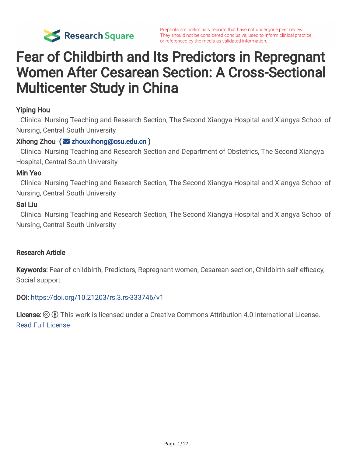

# Fear of Childbirth and Its Predictors in Repregnant Women After Cesarean Section: A Cross-Sectional Multicenter Study in China

#### Yiping Hou

Clinical Nursing Teaching and Research Section, The Second Xiangya Hospital and Xiangya School of Nursing, Central South University

#### $Xihong Zhou (  $\sqrt{2}$  zhouxihong@csu.edu.cn )$  $Xihong Zhou (  $\sqrt{2}$  zhouxihong@csu.edu.cn )$  $Xihong Zhou (  $\sqrt{2}$  zhouxihong@csu.edu.cn )$

Clinical Nursing Teaching and Research Section and Department of Obstetrics, The Second Xiangya Hospital, Central South University

#### Min Yao

Clinical Nursing Teaching and Research Section, The Second Xiangya Hospital and Xiangya School of Nursing, Central South University

#### Sai Liu

Clinical Nursing Teaching and Research Section, The Second Xiangya Hospital and Xiangya School of Nursing, Central South University

#### Research Article

Keywords: Fear of childbirth, Predictors, Repregnant women, Cesarean section, Childbirth self-efficacy, Social support

#### DOI: <https://doi.org/10.21203/rs.3.rs-333746/v1>

License:  $\odot$  0 This work is licensed under a Creative Commons Attribution 4.0 International License. Read Full [License](https://creativecommons.org/licenses/by/4.0/)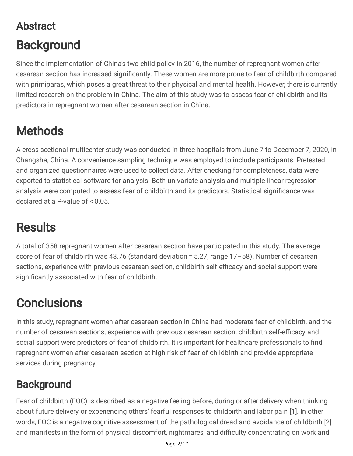# Abstract **Background**

Since the implementation of China's two-child policy in 2016, the number of repregnant women after cesarean section has increased significantly. These women are more prone to fear of childbirth compared with primiparas, which poses a great threat to their physical and mental health. However, there is currently limited research on the problem in China. The aim of this study was to assess fear of childbirth and its predictors in repregnant women after cesarean section in China.

# **Methods**

A cross-sectional multicenter study was conducted in three hospitals from June 7 to December 7, 2020, in Changsha, China. A convenience sampling technique was employed to include participants. Pretested and organized questionnaires were used to collect data. After checking for completeness, data were exported to statistical software for analysis. Both univariate analysis and multiple linear regression analysis were computed to assess fear of childbirth and its predictors. Statistical significance was declared at a P-value of < 0.05.

# **Results**

A total of 358 repregnant women after cesarean section have participated in this study. The average score of fear of childbirth was 43.76 (standard deviation = 5.27, range 17–58). Number of cesarean sections, experience with previous cesarean section, childbirth self-efficacy and social support were significantly associated with fear of childbirth.

# **Conclusions**

In this study, repregnant women after cesarean section in China had moderate fear of childbirth, and the number of cesarean sections, experience with previous cesarean section, childbirth self-efficacy and social support were predictors of fear of childbirth. It is important for healthcare professionals to find repregnant women after cesarean section at high risk of fear of childbirth and provide appropriate services during pregnancy.

## **Background**

Fear of childbirth (FOC) is described as a negative feeling before, during or after delivery when thinking about future delivery or experiencing others' fearful responses to childbirth and labor pain [1]. In other words, FOC is a negative cognitive assessment of the pathological dread and avoidance of childbirth [2] and manifests in the form of physical discomfort, nightmares, and difficulty concentrating on work and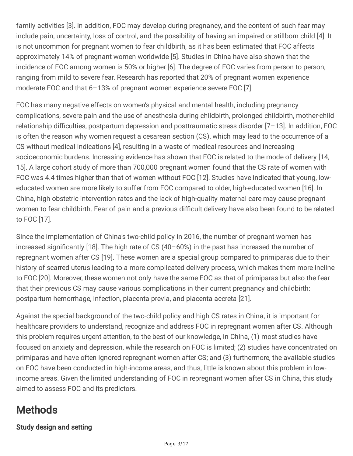family activities [3]. In addition, FOC may develop during pregnancy, and the content of such fear may include pain, uncertainty, loss of control, and the possibility of having an impaired or stillborn child [4]. It is not uncommon for pregnant women to fear childbirth, as it has been estimated that FOC affects approximately 14% of pregnant women worldwide [5]. Studies in China have also shown that the incidence of FOC among women is 50% or higher [6]. The degree of FOC varies from person to person, ranging from mild to severe fear. Research has reported that 20% of pregnant women experience moderate FOC and that 6–13% of pregnant women experience severe FOC [7].

FOC has many negative effects on women's physical and mental health, including pregnancy complications, severe pain and the use of anesthesia during childbirth, prolonged childbirth, mother-child relationship difficulties, postpartum depression and posttraumatic stress disorder  $[7-13]$ . In addition, FOC is often the reason why women request a cesarean section (CS), which may lead to the occurrence of a CS without medical indications [4], resulting in a waste of medical resources and increasing socioeconomic burdens. Increasing evidence has shown that FOC is related to the mode of delivery [14, 15]. A large cohort study of more than 700,000 pregnant women found that the CS rate of women with FOC was 4.4 times higher than that of women without FOC [12]. Studies have indicated that young, loweducated women are more likely to suffer from FOC compared to older, high-educated women [16]. In China, high obstetric intervention rates and the lack of high-quality maternal care may cause pregnant women to fear childbirth. Fear of pain and a previous difficult delivery have also been found to be related to FOC [17].

Since the implementation of China's two-child policy in 2016, the number of pregnant women has increased significantly  $[18]$ . The high rate of CS  $(40-60%)$  in the past has increased the number of repregnant women after CS [19]. These women are a special group compared to primiparas due to their history of scarred uterus leading to a more complicated delivery process, which makes them more incline to FOC [20]. Moreover, these women not only have the same FOC as that of primiparas but also the fear that their previous CS may cause various complications in their current pregnancy and childbirth: postpartum hemorrhage, infection, placenta previa, and placenta accreta [21].

Against the special background of the two-child policy and high CS rates in China, it is important for healthcare providers to understand, recognize and address FOC in repregnant women after CS. Although this problem requires urgent attention, to the best of our knowledge, in China, (1) most studies have focused on anxiety and depression, while the research on FOC is limited; (2) studies have concentrated on primiparas and have often ignored repregnant women after CS; and (3) furthermore, the available studies on FOC have been conducted in high-income areas, and thus, little is known about this problem in lowincome areas. Given the limited understanding of FOC in repregnant women after CS in China, this study aimed to assess FOC and its predictors.

## **Methods**

### Study design and setting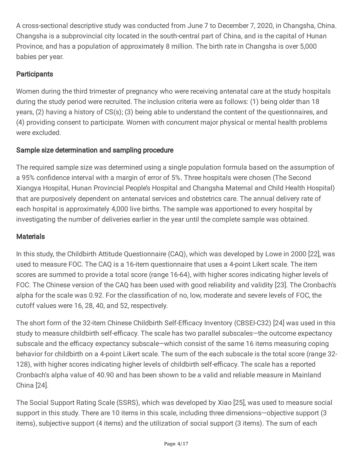A cross-sectional descriptive study was conducted from June 7 to December 7, 2020, in Changsha, China. Changsha is a subprovincial city located in the south-central part of China, and is the capital of Hunan Province, and has a population of approximately 8 million. The birth rate in Changsha is over 5,000 babies per year.

### **Participants**

Women during the third trimester of pregnancy who were receiving antenatal care at the study hospitals during the study period were recruited. The inclusion criteria were as follows: (1) being older than 18 years, (2) having a history of CS(s); (3) being able to understand the content of the questionnaires, and (4) providing consent to participate. Women with concurrent major physical or mental health problems were excluded.

### Sample size determination and sampling procedure

The required sample size was determined using a single population formula based on the assumption of a 95% confidence interval with a margin of error of 5%. Three hospitals were chosen (The Second Xiangya Hospital, Hunan Provincial People's Hospital and Changsha Maternal and Child Health Hospital) that are purposively dependent on antenatal services and obstetrics care. The annual delivery rate of each hospital is approximately 4,000 live births. The sample was apportioned to every hospital by investigating the number of deliveries earlier in the year until the complete sample was obtained.

### **Materials**

In this study, the Childbirth Attitude Questionnaire (CAQ), which was developed by Lowe in 2000 [22], was used to measure FOC. The CAQ is a 16-item questionnaire that uses a 4-point Likert scale. The item scores are summed to provide a total score (range 16-64), with higher scores indicating higher levels of FOC. The Chinese version of the CAQ has been used with good reliability and validity [23]. The Cronbach's alpha for the scale was 0.92. For the classification of no, low, moderate and severe levels of FOC, the cutoff values were 16, 28, 40, and 52, respectively.

The short form of the 32-item Chinese Childbirth Self-Efficacy Inventory (CBSEI-C32) [24] was used in this study to measure childbirth self-efficacy. The scale has two parallel subscales—the outcome expectancy subscale and the efficacy expectancy subscale—which consist of the same 16 items measuring coping behavior for childbirth on a 4-point Likert scale. The sum of the each subscale is the total score (range 32- 128), with higher scores indicating higher levels of childbirth self-efficacy. The scale has a reported Cronbach's alpha value of 40.90 and has been shown to be a valid and reliable measure in Mainland China [24].

The Social Support Rating Scale (SSRS), which was developed by Xiao [25], was used to measure social support in this study. There are 10 items in this scale, including three dimensions—objective support (3 items), subjective support (4 items) and the utilization of social support (3 items). The sum of each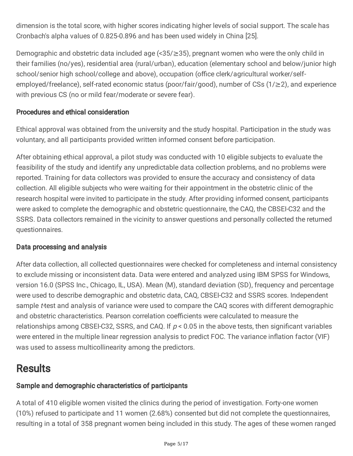dimension is the total score, with higher scores indicating higher levels of social support. The scale has Cronbach's alpha values of 0.825-0.896 and has been used widely in China [25].

Demographic and obstetric data included age (<35/≥35), pregnant women who were the only child in their families (no/yes), residential area (rural/urban), education (elementary school and below/junior high school/senior high school/college and above), occupation (office clerk/agricultural worker/selfemployed/freelance), self-rated economic status (poor/fair/good), number of CSs (1/≥2), and experience with previous CS (no or mild fear/moderate or severe fear).

### Procedures and ethical consideration

Ethical approval was obtained from the university and the study hospital. Participation in the study was voluntary, and all participants provided written informed consent before participation.

After obtaining ethical approval, a pilot study was conducted with 10 eligible subjects to evaluate the feasibility of the study and identify any unpredictable data collection problems, and no problems were reported. Training for data collectors was provided to ensure the accuracy and consistency of data collection. All eligible subjects who were waiting for their appointment in the obstetric clinic of the research hospital were invited to participate in the study. After providing informed consent, participants were asked to complete the demographic and obstetric questionnaire, the CAQ, the CBSEI-C32 and the SSRS. Data collectors remained in the vicinity to answer questions and personally collected the returned questionnaires.

#### Data processing and analysis

After data collection, all collected questionnaires were checked for completeness and internal consistency to exclude missing or inconsistent data. Data were entered and analyzed using IBM SPSS for Windows, version 16.0 (SPSS Inc., Chicago, IL, USA). Mean (M), standard deviation (SD), frequency and percentage were used to describe demographic and obstetric data, CAQ, CBSEI-C32 and SSRS scores. Independent sample t-test and analysis of variance were used to compare the CAQ scores with different demographic and obstetric characteristics. Pearson correlation coefficients were calculated to measure the relationships among CBSEI-C32, SSRS, and CAQ. If  $p < 0.05$  in the above tests, then significant variables were entered in the multiple linear regression analysis to predict FOC. The variance inflation factor (VIF) was used to assess multicollinearity among the predictors.

## **Results**

### Sample and demographic characteristics of participants

A total of 410 eligible women visited the clinics during the period of investigation. Forty-one women (10%) refused to participate and 11 women (2.68%) consented but did not complete the questionnaires, resulting in a total of 358 pregnant women being included in this study. The ages of these women ranged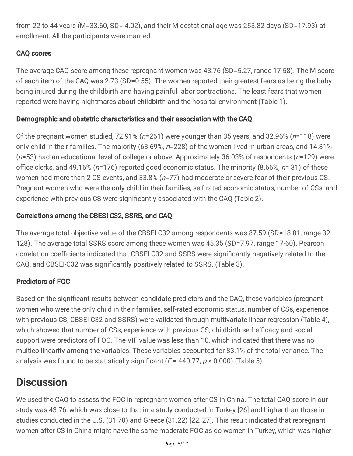from 22 to 44 years (M=33.60, SD= 4.02), and their M gestational age was 253.82 days (SD=17.93) at enrollment. All the participants were married.

### CAQ scores

The average CAQ score among these repregnant women was 43.76 (SD=5.27, range 17-58). The M score of each item of the CAQ was 2.73 (SD=0.55). The women reported their greatest fears as being the baby being injured during the childbirth and having painful labor contractions. The least fears that women reported were having nightmares about childbirth and the hospital environment (Table 1).

### Demographic and obstetric characteristics and their association with the CAQ

Of the pregnant women studied, 72.91% ( $n=261$ ) were younger than 35 years, and 32.96% ( $n=118$ ) were only child in their families. The majority (63.69%, n=228) of the women lived in urban areas, and 14.81%  $(n=53)$  had an educational level of college or above. Approximately 36.03% of respondents ( $n=129$ ) were office clerks, and 49.16% ( $n=176$ ) reported good economic status. The minority (8.66%,  $n=31$ ) of these women had more than 2 CS events, and 33.8% (n=77) had moderate or severe fear of their previous CS. Pregnant women who were the only child in their families, self-rated economic status, number of CSs, and experience with previous CS were significantly associated with the CAQ (Table 2).

### Correlations among the CBESI-C32, SSRS, and CAQ

The average total objective value of the CBSEI-C32 among respondents was 87.59 (SD=18.81, range 32- 128). The average total SSRS score among these women was 45.35 (SD=7.97, range 17-60). Pearson correlation coefficients indicated that CBSEI-C32 and SSRS were significantly negatively related to the CAQ, and CBSEI-C32 was significantly positively related to SSRS. (Table 3).

### Predictors of FOC

Based on the significant results between candidate predictors and the CAQ, these variables (pregnant women who were the only child in their families, self-rated economic status, number of CSs, experience with previous CS, CBSEI-C32 and SSRS) were validated through multivariate linear regression (Table 4), which showed that number of CSs, experience with previous CS, childbirth self-efficacy and social support were predictors of FOC. The VIF value was less than 10, which indicated that there was no multicollinearity among the variables. These variables accounted for 83.1% of the total variance. The analysis was found to be statistically significant ( $F = 440.77$ ,  $p < 0.000$ ) (Table 5).

## **Discussion**

We used the CAQ to assess the FOC in repregnant women after CS in China. The total CAQ score in our study was 43.76, which was close to that in a study conducted in Turkey [26] and higher than those in studies conducted in the U.S. (31.70) and Greece (31.22) [22, 27]. This result indicated that repregnant women after CS in China might have the same moderate FOC as do women in Turkey, which was higher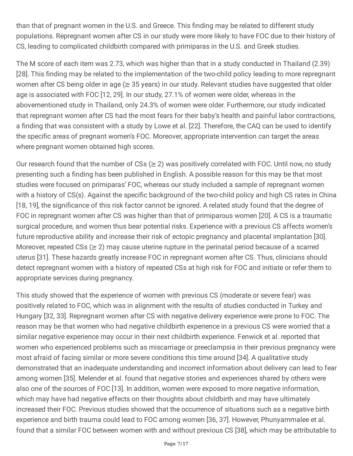than that of pregnant women in the U.S. and Greece. This finding may be related to different study populations. Repregnant women after CS in our study were more likely to have FOC due to their history of CS, leading to complicated childbirth compared with primiparas in the U.S. and Greek studies.

The M score of each item was 2.73, which was higher than that in a study conducted in Thailand (2.39) [28]. This finding may be related to the implementation of the two-child policy leading to more repregnant women after CS being older in age ( $\geq$  35 years) in our study. Relevant studies have suggested that older age is associated with FOC [12, 29]. In our study, 27.1% of women were older, whereas in the abovementioned study in Thailand, only 24.3% of women were older. Furthermore, our study indicated that repregnant women after CS had the most fears for their baby's health and painful labor contractions, a finding that was consistent with a study by Lowe et al. [22]. Therefore, the CAQ can be used to identify the specific areas of pregnant women's FOC. Moreover, appropriate intervention can target the areas where pregnant women obtained high scores.

Our research found that the number of  $CSs \geq 2$ ) was positively correlated with FOC. Until now, no study presenting such a finding has been published in English. A possible reason for this may be that most studies were focused on primiparas' FOC, whereas our study included a sample of repregnant women with a history of CS(s). Against the specific background of the two-child policy and high CS rates in China [18, 19], the significance of this risk factor cannot be ignored. A related study found that the degree of FOC in repregnant women after CS was higher than that of primiparous women [20]. A CS is a traumatic surgical procedure, and women thus bear potential risks. Experience with a previous CS affects women's future reproductive ability and increase their risk of ectopic pregnancy and placental implantation [30]. Moreover, repeated  $CSs$  ( $\geq$  2) may cause uterine rupture in the perinatal period because of a scarred uterus [31]. These hazards greatly increase FOC in repregnant women after CS. Thus, clinicians should detect repregnant women with a history of repeated CSs at high risk for FOC and initiate or refer them to appropriate services during pregnancy.

This study showed that the experience of women with previous CS (moderate or severe fear) was positively related to FOC, which was in alignment with the results of studies conducted in Turkey and Hungary [32, 33]. Repregnant women after CS with negative delivery experience were prone to FOC. The reason may be that women who had negative childbirth experience in a previous CS were worried that a similar negative experience may occur in their next childbirth experience. Fenwick et al. reported that women who experienced problems such as miscarriage or preeclampsia in their previous pregnancy were most afraid of facing similar or more severe conditions this time around [34]. A qualitative study demonstrated that an inadequate understanding and incorrect information about delivery can lead to fear among women [35]. Melender et al. found that negative stories and experiences shared by others were also one of the sources of FOC [13]. In addition, women were exposed to more negative information, which may have had negative effects on their thoughts about childbirth and may have ultimately increased their FOC. Previous studies showed that the occurrence of situations such as a negative birth experience and birth trauma could lead to FOC among women [36, 37]. However, Phunyammalee et al. found that a similar FOC between women with and without previous CS [38], which may be attributable to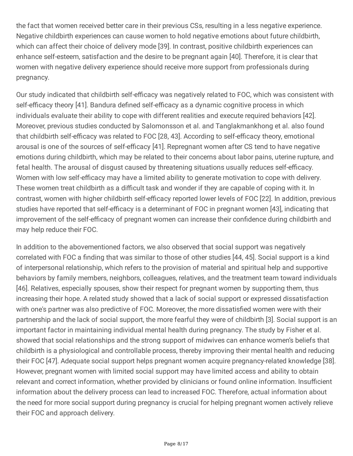the fact that women received better care in their previous CSs, resulting in a less negative experience. Negative childbirth experiences can cause women to hold negative emotions about future childbirth, which can affect their choice of delivery mode [39]. In contrast, positive childbirth experiences can enhance self-esteem, satisfaction and the desire to be pregnant again [40]. Therefore, it is clear that women with negative delivery experience should receive more support from professionals during pregnancy.

Our study indicated that childbirth self-efficacy was negatively related to FOC, which was consistent with self-efficacy theory [41]. Bandura defined self-efficacy as a dynamic cognitive process in which individuals evaluate their ability to cope with different realities and execute required behaviors [42]. Moreover, previous studies conducted by Salomonsson et al. and Tanglakmankhong et al. also found that childbirth self-efficacy was related to FOC [28, 43]. According to self-efficacy theory, emotional arousal is one of the sources of self-efficacy [41]. Repregnant women after CS tend to have negative emotions during childbirth, which may be related to their concerns about labor pains, uterine rupture, and fetal health. The arousal of disgust caused by threatening situations usually reduces self-efficacy. Women with low self-efficacy may have a limited ability to generate motivation to cope with delivery. These women treat childbirth as a difficult task and wonder if they are capable of coping with it. In contrast, women with higher childbirth self-efficacy reported lower levels of FOC [22]. In addition, previous studies have reported that self-efficacy is a determinant of FOC in pregnant women [43], indicating that improvement of the self-efficacy of pregnant women can increase their confidence during childbirth and may help reduce their FOC.

In addition to the abovementioned factors, we also observed that social support was negatively correlated with FOC a finding that was similar to those of other studies [44, 45]. Social support is a kind of interpersonal relationship, which refers to the provision of material and spiritual help and supportive behaviors by family members, neighbors, colleagues, relatives, and the treatment team toward individuals [46]. Relatives, especially spouses, show their respect for pregnant women by supporting them, thus increasing their hope. A related study showed that a lack of social support or expressed dissatisfaction with one's partner was also predictive of FOC. Moreover, the more dissatisfied women were with their partnership and the lack of social support, the more fearful they were of childbirth [3]. Social support is an important factor in maintaining individual mental health during pregnancy. The study by Fisher et al. showed that social relationships and the strong support of midwives can enhance women's beliefs that childbirth is a physiological and controllable process, thereby improving their mental health and reducing their FOC [47]. Adequate social support helps pregnant women acquire pregnancy-related knowledge [38]. However, pregnant women with limited social support may have limited access and ability to obtain relevant and correct information, whether provided by clinicians or found online information. Insufficient information about the delivery process can lead to increased FOC. Therefore, actual information about the need for more social support during pregnancy is crucial for helping pregnant women actively relieve their FOC and approach delivery.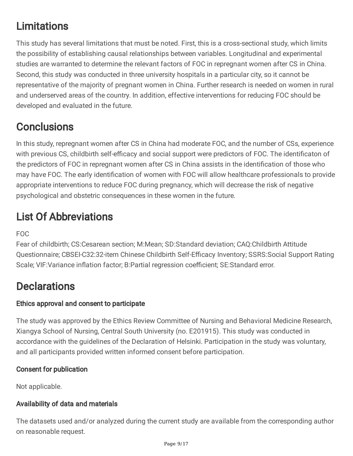# **Limitations**

This study has several limitations that must be noted. First, this is a cross-sectional study, which limits the possibility of establishing causal relationships between variables. Longitudinal and experimental studies are warranted to determine the relevant factors of FOC in repregnant women after CS in China. Second, this study was conducted in three university hospitals in a particular city, so it cannot be representative of the majority of pregnant women in China. Further research is needed on women in rural and underserved areas of the country. In addition, effective interventions for reducing FOC should be developed and evaluated in the future.

## **Conclusions**

In this study, repregnant women after CS in China had moderate FOC, and the number of CSs, experience with previous CS, childbirth self-efficacy and social support were predictors of FOC. The identificaton of the predictors of FOC in repregnant women after CS in China assists in the identification of those who may have FOC. The early identification of women with FOC will allow healthcare professionals to provide appropriate interventions to reduce FOC during pregnancy, which will decrease the risk of negative psychological and obstetric consequences in these women in the future.

# List Of Abbreviations

FOC

Fear of childbirth; CS:Cesarean section; M:Mean; SD:Standard deviation; CAQ:Childbirth Attitude Questionnaire; CBSEI-C32:32-item Chinese Childbirth Self-Efficacy Inventory; SSRS:Social Support Rating Scale; VIF: Variance inflation factor; B: Partial regression coefficient; SE: Standard error.

## **Declarations**

### Ethics approval and consent to participate

The study was approved by the Ethics Review Committee of Nursing and Behavioral Medicine Research, Xiangya School of Nursing, Central South University (no. E201915). This study was conducted in accordance with the guidelines of the Declaration of Helsinki. Participation in the study was voluntary, and all participants provided written informed consent before participation.

### Consent for publication

Not applicable.

### Availability of data and materials

The datasets used and/or analyzed during the current study are available from the corresponding author on reasonable request.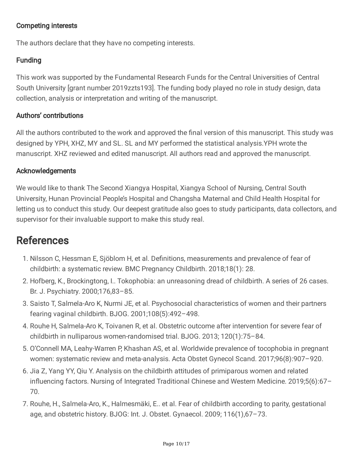#### Competing interests

The authors declare that they have no competing interests.

### **Funding**

This work was supported by the Fundamental Research Funds for the Central Universities of Central South University [grant number 2019zzts193]. The funding body played no role in study design, data collection, analysis or interpretation and writing of the manuscript.

#### Authors' contributions

All the authors contributed to the work and approved the final version of this manuscript. This study was designed by YPH, XHZ, MY and SL. SL and MY performed the statistical analysis.YPH wrote the manuscript. XHZ reviewed and edited manuscript. All authors read and approved the manuscript.

#### Acknowledgements

We would like to thank The Second Xiangya Hospital, Xiangya School of Nursing, Central South University, Hunan Provincial People's Hospital and Changsha Maternal and Child Health Hospital for letting us to conduct this study. Our deepest gratitude also goes to study participants, data collectors, and supervisor for their invaluable support to make this study real.

### References

- 1. Nilsson C, Hessman E, Sjöblom H, et al. Definitions, measurements and prevalence of fear of childbirth: a systematic review. BMC Pregnancy Childbirth. 2018;18(1): 28.
- 2. Hofberg, K., Brockingtong, I.. Tokophobia: an unreasoning dread of childbirth. A series of 26 cases. Br. J. Psychiatry. 2000;176,83–85.
- 3. Saisto T, Salmela-Aro K, Nurmi JE, et al. Psychosocial characteristics of women and their partners fearing vaginal childbirth. BJOG. 2001;108(5):492–498.
- 4. Rouhe H, Salmela-Aro K, Toivanen R, et al. Obstetric outcome after intervention for severe fear of childbirth in nulliparous women-randomised trial. BJOG. 2013; 120(1):75–84.
- 5. O'Connell MA, Leahy-Warren P, Khashan AS, et al. Worldwide prevalence of tocophobia in pregnant women: systematic review and meta-analysis. Acta Obstet Gynecol Scand. 2017;96(8):907–920.
- 6. Jia Z, Yang YY, Qiu Y. Analysis on the childbirth attitudes of primiparous women and related influencing factors. Nursing of Integrated Traditional Chinese and Western Medicine. 2019;5(6):67-70.
- 7. Rouhe, H., Salmela-Aro, K., Halmesmäki, E.. et al. Fear of childbirth according to parity, gestational age, and obstetric history. BJOG: Int. J. Obstet. Gynaecol. 2009; 116(1),67–73.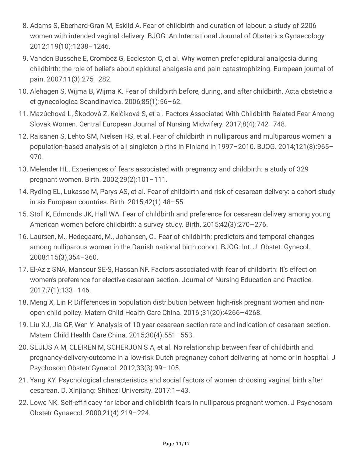- 8. Adams S, Eberhard-Gran M, Eskild A. Fear of childbirth and duration of labour: a study of 2206 women with intended vaginal delivery. BJOG: An International Journal of Obstetrics Gynaecology. 2012;119(10):1238–1246.
- 9. Vanden Bussche E, Crombez G, Eccleston C, et al. Why women prefer epidural analgesia during childbirth: the role of beliefs about epidural analgesia and pain catastrophizing. European journal of pain. 2007;11(3):275–282.
- 10. Alehagen S, Wijma B, Wijma K. Fear of childbirth before, during, and after childbirth. Acta obstetricia et gynecologica Scandinavica. 2006;85(1):56–62.
- 11. Mazúchová L, Škodová Z, Kelčíková S, et al. Factors Associated With Childbirth-Related Fear Among Slovak Women. Central European Journal of Nursing Midwifery. 2017;8(4):742–748.
- 12. Raisanen S, Lehto SM, Nielsen HS, et al. Fear of childbirth in nulliparous and multiparous women: a population-based analysis of all singleton births in Finland in 1997–2010. BJOG. 2014;121(8):965– 970.
- 13. Melender HL. Experiences of fears associated with pregnancy and childbirth: a study of 329 pregnant women. Birth. 2002;29(2):101–111.
- 14. Ryding EL, Lukasse M, Parys AS, et al. Fear of childbirth and risk of cesarean delivery: a cohort study in six European countries. Birth. 2015;42(1):48–55.
- 15. Stoll K, Edmonds JK, Hall WA. Fear of childbirth and preference for cesarean delivery among young American women before childbirth: a survey study. Birth. 2015;42(3):270–276.
- 16. Laursen, M., Hedegaard, M., Johansen, C.. Fear of childbirth: predictors and temporal changes among nulliparous women in the Danish national birth cohort. BJOG: Int. J. Obstet. Gynecol. 2008;115(3),354–360.
- 17. El-Aziz SNA, Mansour SE-S, Hassan NF. Factors associated with fear of childbirth: It's effect on women's preference for elective cesarean section. Journal of Nursing Education and Practice. 2017;7(1):133–146.
- 18. Meng X, Lin P. Differences in population distribution between high-risk pregnant women and nonopen child policy. Matern Child Health Care China. 2016.;31(20):4266–4268.
- 19. Liu XJ, Jia GF, Wen Y. Analysis of 10-year cesarean section rate and indication of cesarean section. Matern Child Health Care China. 2015;30(4):551–553.
- 20. SLUIJS A M, CLEIREN M, SCHERJON S A, et al. No relationship between fear of childbirth and pregnancy-delivery-outcome in a low-risk Dutch pregnancy cohort delivering at home or in hospital. J Psychosom Obstetr Gynecol. 2012;33(3):99–105.
- 21. Yang KY. Psychological characteristics and social factors of women choosing vaginal birth after cesarean. D. Xinjiang: Shihezi University. 2017:1–43.
- 22. Lowe NK. Self-effificacy for labor and childbirth fears in nulliparous pregnant women. J Psychosom Obstetr Gynaecol. 2000;21(4):219–224.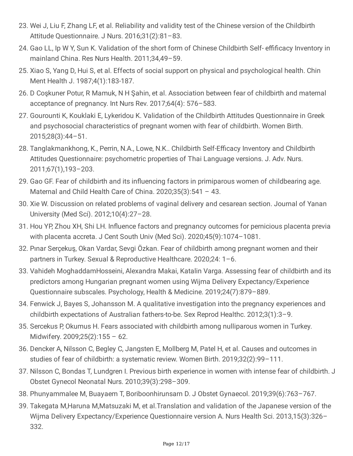- 23. Wei J, Liu F, Zhang LF, et al. Reliability and validity test of the Chinese version of the Childbirth Attitude Questionnaire. J Nurs. 2016;31(2):81–83.
- 24. Gao LL, Ip W Y, Sun K. Validation of the short form of Chinese Childbirth Self- effificacy Inventory in mainland China. Res Nurs Health. 2011;34,49–59.
- 25. Xiao S, Yang D, Hui S, et al. Effects of social support on physical and psychological health. Chin Ment Health J. 1987;4(1):183-187.
- 26. D Coşkuner Potur, R Mamuk, N H Şahin, et al. Association between fear of childbirth and maternal acceptance of pregnancy. Int Nurs Rev. 2017;64(4): 576–583.
- 27. Gourounti K, Kouklaki E, Lykeridou K. Validation of the Childbirth Attitudes Questionnaire in Greek and psychosocial characteristics of pregnant women with fear of childbirth. Women Birth. 2015;28(3):44–51.
- 28. Tanglakmankhong, K., Perrin, N.A., Lowe, N.K.. Childbirth Self-Efficacy Inventory and Childbirth Attitudes Questionnaire: psychometric properties of Thai Language versions. J. Adv. Nurs. 2011;67(1),193–203.
- 29. Gao GF. Fear of childbirth and its influencing factors in primiparous women of childbearing age. Maternal and Child Health Care of China. 2020;35(3):541 – 43.
- 30. Xie W. Discussion on related problems of vaginal delivery and cesarean section. Journal of Yanan University (Med Sci). 2012;10(4):27–28.
- 31. Hou YP, Zhou XH, Shi LH. Influence factors and pregnancy outcomes for pernicious placenta previa with placenta accreta. J Cent South Univ (Med Sci). 2020;45(9):1074–1081.
- 32. Pınar Serçekuş, Okan Vardar, Sevgi Özkan. Fear of childbirth among pregnant women and their partners in Turkey. Sexual & Reproductive Healthcare. 2020;24: 1–6.
- 33. Vahideh MoghaddamHosseini, Alexandra Makai, Katalin Varga. Assessing fear of childbirth and its predictors among Hungarian pregnant women using Wijma Delivery Expectancy/Experience Questionnaire subscales. Psychology, Health & Medicine. 2019;24(7):879–889.
- 34. Fenwick J, Bayes S, Johansson M. A qualitative investigation into the pregnancy experiences and childbirth expectations of Australian fathers-to-be. Sex Reprod Healthc. 2012;3(1):3–9.
- 35. Sercekus P, Okumus H. Fears associated with childbirth among nulliparous women in Turkey. Midwifery. 2009;25(2):155 – 62.
- 36. Dencker A, Nilsson C, Begley C, Jangsten E, Mollberg M, Patel H, et al. Causes and outcomes in studies of fear of childbirth: a systematic review. Women Birth. 2019;32(2):99–111.
- 37. Nilsson C, Bondas T, Lundgren I. Previous birth experience in women with intense fear of childbirth. J Obstet Gynecol Neonatal Nurs. 2010;39(3):298–309.
- 38. Phunyammalee M, Buayaem T, Boriboonhirunsarn D. J Obstet Gynaecol. 2019;39(6):763–767.
- 39. Takegata M,Haruna M,Matsuzaki M, et al.Translation and validation of the Japanese version of the Wijma Delivery Expectancy/Experience Questionnaire version A. Nurs Health Sci. 2013,15(3):326– 332.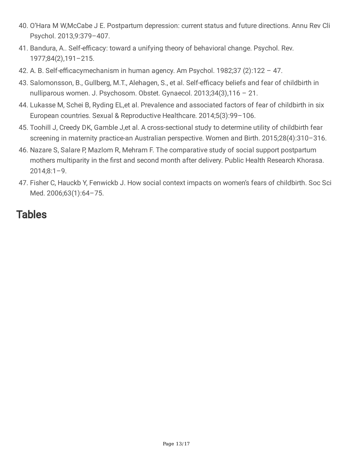- 40. O'Hara M W,McCabe J E. Postpartum depression: current status and future directions. Annu Rev Cli Psychol. 2013,9:379–407.
- 41. Bandura, A.. Self-efficacy: toward a unifying theory of behavioral change. Psychol. Rev. 1977;84(2),191–215.
- 42. A. B. Self-efficacymechanism in human agency. Am Psychol. 1982;37  $(2)$ :122 47.
- 43. Salomonsson, B., Gullberg, M.T., Alehagen, S., et al. Self-efficacy beliefs and fear of childbirth in nulliparous women. J. Psychosom. Obstet. Gynaecol. 2013;34(3),116 – 21.
- 44. Lukasse M, Schei B, Ryding EL,et al. Prevalence and associated factors of fear of childbirth in six European countries. Sexual & Reproductive Healthcare. 2014;5(3):99–106.
- 45. Toohill J, Creedy DK, Gamble J,et al. A cross-sectional study to determine utility of childbirth fear screening in maternity practice-an Australian perspective. Women and Birth. 2015;28(4):310–316.
- 46. Nazare S, Salare P, Mazlom R, Mehram F. The comparative study of social support postpartum mothers multiparity in the first and second month after delivery. Public Health Research Khorasa.  $2014;8:1-9.$
- 47. Fisher C, Hauckb Y, Fenwickb J. How social context impacts on women's fears of childbirth. Soc Sci Med. 2006;63(1):64–75.

### **Tables**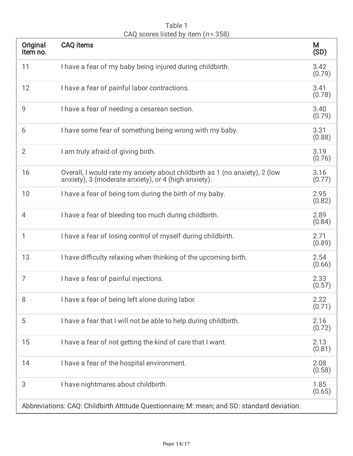| Table 1                               |  |
|---------------------------------------|--|
| CAQ scores listed by item $(n = 358)$ |  |

| Original<br>item no.                                                                        | <b>CAQ</b> items                                                                                                                    | M<br>(SD)      |  |
|---------------------------------------------------------------------------------------------|-------------------------------------------------------------------------------------------------------------------------------------|----------------|--|
| 11                                                                                          | I have a fear of my baby being injured during childbirth.                                                                           | 3.42<br>(0.79) |  |
| 12                                                                                          | I have a fear of painful labor contractions.                                                                                        | 3.41<br>(0.78) |  |
| 9                                                                                           | I have a fear of needing a cesarean section.                                                                                        | 3.40<br>(0.79) |  |
| 6                                                                                           | I have some fear of something being wrong with my baby.                                                                             | 3.31<br>(0.88) |  |
| $\overline{2}$                                                                              | I am truly afraid of giving birth.                                                                                                  | 3.19<br>(0.76) |  |
| 16                                                                                          | Overall, I would rate my anxiety about childbirth as 1 (no anxiety), 2 (low<br>anxiety), 3 (moderate anxiety), or 4 (high anxiety). | 3.16<br>(0.77) |  |
| 10                                                                                          | I have a fear of being torn during the birth of my baby.                                                                            | 2.95<br>(0.82) |  |
| 4                                                                                           | I have a fear of bleeding too much during childbirth.                                                                               | 2.89<br>(0.84) |  |
| 1                                                                                           | I have a fear of losing control of myself during childbirth.                                                                        | 2.71<br>(0.89) |  |
| 13                                                                                          | I have difficulty relaxing when thinking of the upcoming birth.                                                                     | 2.54<br>(0.66) |  |
| 7                                                                                           | I have a fear of painful injections.                                                                                                | 2.33<br>(0.57) |  |
| 8                                                                                           | I have a fear of being left alone during labor.                                                                                     | 2.22<br>(0.71) |  |
| 5                                                                                           | I have a fear that I will not be able to help during childbirth.                                                                    | 2.16<br>(0.72) |  |
| 15                                                                                          | I have a fear of not getting the kind of care that I want.                                                                          | 2.13<br>(0.81) |  |
| 14                                                                                          | I have a fear of the hospital environment.                                                                                          | 2.08<br>(0.58) |  |
| 3                                                                                           | I have nightmares about childbirth.                                                                                                 | 1.85<br>(0.65) |  |
| Abbreviations: CAQ: Childbirth Attitude Questionnaire; M: mean; and SD: standard deviation. |                                                                                                                                     |                |  |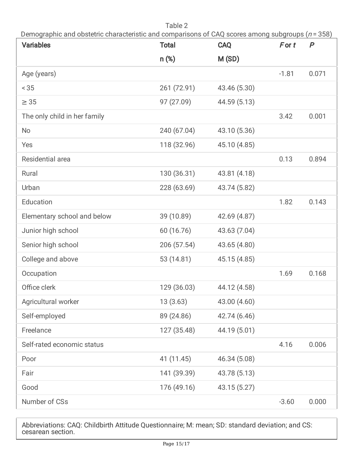Table 2 Demographic and obstetric characteristic and comparisons of CAQ scores among subgroups ( $n = 358$ )

| <b>Variables</b>             | <b>Total</b> | <b>CAQ</b>   | $F$ or $t$ | $\boldsymbol{P}$ |
|------------------------------|--------------|--------------|------------|------------------|
|                              | $n$ (%)      | M (SD)       |            |                  |
| Age (years)                  |              |              | $-1.81$    | 0.071            |
| < 35                         | 261 (72.91)  | 43.46 (5.30) |            |                  |
| $\geq$ 35                    | 97 (27.09)   | 44.59 (5.13) |            |                  |
| The only child in her family |              |              | 3.42       | 0.001            |
| <b>No</b>                    | 240 (67.04)  | 43.10 (5.36) |            |                  |
| Yes                          | 118 (32.96)  | 45.10 (4.85) |            |                  |
| Residential area             |              |              | 0.13       | 0.894            |
| Rural                        | 130 (36.31)  | 43.81 (4.18) |            |                  |
| Urban                        | 228 (63.69)  | 43.74 (5.82) |            |                  |
| Education                    |              |              | 1.82       | 0.143            |
| Elementary school and below  | 39 (10.89)   | 42.69 (4.87) |            |                  |
| Junior high school           | 60 (16.76)   | 43.63 (7.04) |            |                  |
| Senior high school           | 206 (57.54)  | 43.65 (4.80) |            |                  |
| College and above            | 53 (14.81)   | 45.15 (4.85) |            |                  |
| Occupation                   |              |              | 1.69       | 0.168            |
| Office clerk                 | 129 (36.03)  | 44.12 (4.58) |            |                  |
| Agricultural worker          | 13(3.63)     | 43.00 (4.60) |            |                  |
| Self-employed                | 89 (24.86)   | 42.74 (6.46) |            |                  |
| Freelance                    | 127 (35.48)  | 44.19 (5.01) |            |                  |
| Self-rated economic status   |              |              | 4.16       | 0.006            |
| Poor                         | 41 (11.45)   | 46.34 (5.08) |            |                  |
| Fair                         | 141 (39.39)  | 43.78 (5.13) |            |                  |
| Good                         | 176 (49.16)  | 43.15 (5.27) |            |                  |
| Number of CSs                |              |              | $-3.60$    | 0.000            |

Abbreviations: CAQ: Childbirth Attitude Questionnaire; M: mean; SD: standard deviation; and CS: cesarean section.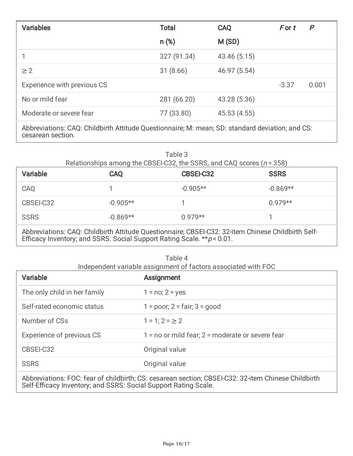| <b>Variables</b>                                                                                | <b>Total</b> | <b>CAQ</b>   | For t   | P     |
|-------------------------------------------------------------------------------------------------|--------------|--------------|---------|-------|
|                                                                                                 | $n$ (%)      | M(SD)        |         |       |
|                                                                                                 | 327 (91.34)  | 43.46 (5.15) |         |       |
| $\geq$ 2                                                                                        | 31(8.66)     | 46.97 (5.54) |         |       |
| Experience with previous CS                                                                     |              |              | $-3.37$ | 0.001 |
| No or mild fear                                                                                 | 281 (66.20)  | 43.28 (5.36) |         |       |
| Moderate or severe fear                                                                         | 77 (33.80)   | 45.53 (4.55) |         |       |
| Abbreviations: CAQ: Childbirth Attitude Questionnaire; M: mean; SD: standard deviation; and CS: |              |              |         |       |

cesarean section.

| Table 3<br>Relationships among the CBSEI-C32, the SSRS, and CAQ scores $(n = 358)$                                                                                            |            |                  |             |  |
|-------------------------------------------------------------------------------------------------------------------------------------------------------------------------------|------------|------------------|-------------|--|
| <b>Variable</b>                                                                                                                                                               | <b>CAQ</b> | <b>CBSEI-C32</b> | <b>SSRS</b> |  |
| CAQ                                                                                                                                                                           |            | $-0.905**$       | $-0.869**$  |  |
| CBSEI-C32                                                                                                                                                                     | $-0.905**$ |                  | $0.979**$   |  |
| <b>SSRS</b>                                                                                                                                                                   | $-0.869**$ | $0.979**$        |             |  |
| Abbreviations: CAQ: Childbirth Attitude Questionnaire; CBSEI-C32: 32-item Chinese Childbirth Self-<br>Efficacy Inventory; and SSRS: Social Support Rating Scale. ** p < 0.01. |            |                  |             |  |

|  | Table 4                                                        |
|--|----------------------------------------------------------------|
|  | Independent variable assignment of factors associated with FOC |

| <b>Variable</b>                                                                                                                                                        | Assignment                                           |  |  |
|------------------------------------------------------------------------------------------------------------------------------------------------------------------------|------------------------------------------------------|--|--|
| The only child in her family                                                                                                                                           | $1 = no; 2 = yes$                                    |  |  |
| Self-rated economic status                                                                                                                                             | $1 = poor$ ; $2 = fair$ ; $3 = good$                 |  |  |
| Number of CSs                                                                                                                                                          | $1 = 1$ ; $2 = \ge 2$                                |  |  |
| Experience of previous CS                                                                                                                                              | $1 = no$ or mild fear; $2 = moderate$ or severe fear |  |  |
| CBSEI-C32                                                                                                                                                              | Original value                                       |  |  |
| <b>SSRS</b>                                                                                                                                                            | Original value                                       |  |  |
| Abbreviations: FOC: fear of childbirth; CS: cesarean section; CBSEI-C32: 32-item Chinese Childbirth<br>Self-Efficacy Inventory; and SSRS: Social Support Rating Scale. |                                                      |  |  |